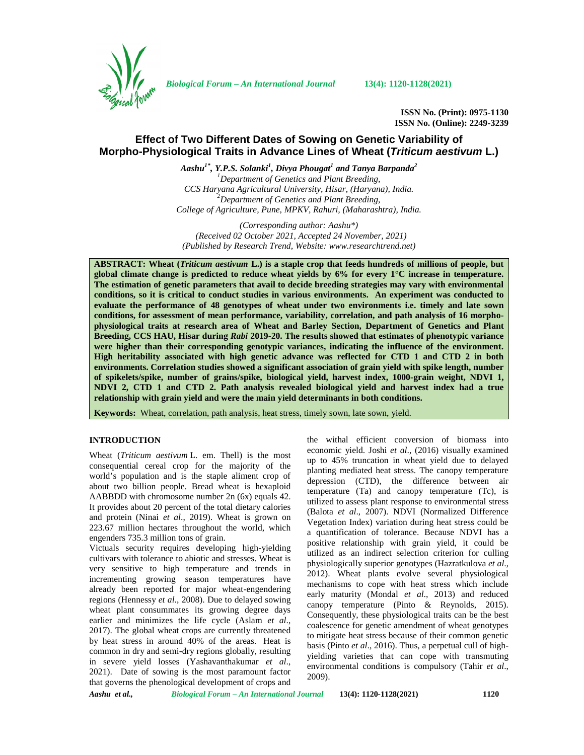

*Biological Forum – An International Journal* **13(4): 1120-1128(2021)**

**ISSN No. (Print): 0975-1130 ISSN No. (Online): 2249-3239**

# **Effect of Two Different Dates of Sowing on Genetic Variability of Morpho-Physiological Traits in Advance Lines of Wheat (***Triticum aestivum* **L.)**

*Aashu1\* , Y.P.S. Solanki<sup>1</sup> , Divya Phougat<sup>1</sup> and Tanya Barpanda<sup>2</sup> <sup>1</sup>Department of Genetics and Plant Breeding, CCS Haryana Agricultural University, Hisar, (Haryana), India. <sup>2</sup>Department of Genetics and Plant Breeding, College of Agriculture, Pune, MPKV, Rahuri, (Maharashtra), India.*

*(Corresponding author: Aashu\*) (Received 02 October 2021, Accepted 24 November, 2021) (Published by Research Trend, Website: [www.researchtrend.net\)](www.researchtrend.net)*

**ABSTRACT: Wheat (***Triticum aestivum* **L.) is a staple crop that feeds hundreds of millions of people, but global climate change is predicted to reduce wheat yields by 6% for every 1°C increase in temperature. The estimation of genetic parameters that avail to decide breeding strategies may vary with environmental conditions, so it is critical to conduct studies in various environments. An experiment was conducted to evaluate the performance of 48 genotypes of wheat under two environments i.e. timely and late sown conditions, for assessment of mean performance, variability, correlation, and path analysis of 16 morpho physiological traits at research area of Wheat and Barley Section, Department of Genetics and Plant Breeding, CCS HAU, Hisar during** *Rabi* **2019-20. The results showed that estimates of phenotypic variance were higher than their corresponding genotypic variances, indicating the influence of the environment. High heritability associated with high genetic advance was reflected for CTD 1 and CTD 2 in both environments. Correlation studies showed a significant association of grain yield with spike length, number of spikelets/spike, number of grains/spike, biological yield, harvest index, 1000-grain weight, NDVI 1, NDVI 2, CTD 1 and CTD 2. Path analysis revealed biological yield and harvest index had a true relationship with grain yield and were the main yield determinants in both conditions.**

**Keywords:** Wheat, correlation, path analysis, heat stress, timely sown, late sown, yield.

### **INTRODUCTION**

Wheat (*Triticum aestivum* L. em. Thell) is the most consequential cereal crop for the majority of the world's population and is the staple aliment crop of about two billion people. Bread wheat is hexaploid AABBDD with chromosome number 2n (6x) equals 42. It provides about 20 percent of the total dietary calories and protein (Ninai *et al*., 2019). Wheat is grown on 223.67 million hectares throughout the world, which engenders 735.3 million tons of grain.

Victuals security requires developing high-yielding cultivars with tolerance to abiotic and stresses. Wheat is very sensitive to high temperature and trends in incrementing growing season temperatures have already been reported for major wheat-engendering regions (Hennessy *et al*., 2008). Due to delayed sowing wheat plant consummates its growing degree days earlier and minimizes the life cycle (Aslam *et al*., 2017). The global wheat crops are currently threatened by heat stress in around 40% of the areas. Heat is common in dry and semi-dry regions globally, resulting in severe yield losses (Yashavanthakumar *et al*., 2021). Date of sowing is the most paramount factor that governs the phenological development of crops and the withal efficient conversion of biomass into economic yield. Joshi *et al*., (2016) visually examined up to 45% truncation in wheat yield due to delayed planting mediated heat stress. The canopy temperature depression (CTD), the difference between air temperature (Ta) and canopy temperature (Tc), is utilized to assess plant response to environmental stress (Balota *et al*., 2007). NDVI (Normalized Difference Vegetation Index) variation during heat stress could be a quantification of tolerance. Because NDVI has a positive relationship with grain yield, it could be utilized as an indirect selection criterion for culling physiologically superior genotypes (Hazratkulova *et al*., 2012). Wheat plants evolve several physiological mechanisms to cope with heat stress which include early maturity (Mondal *et al*., 2013) and reduced canopy temperature (Pinto & Reynolds, 2015). Consequently, these physiological traits can be the best coalescence for genetic amendment of wheat genotypes to mitigate heat stress because of their common genetic basis (Pinto *et al*., 2016). Thus, a perpetual cull of high yielding varieties that can cope with transmuting environmental conditions is compulsory (Tahir *et al*., 2009).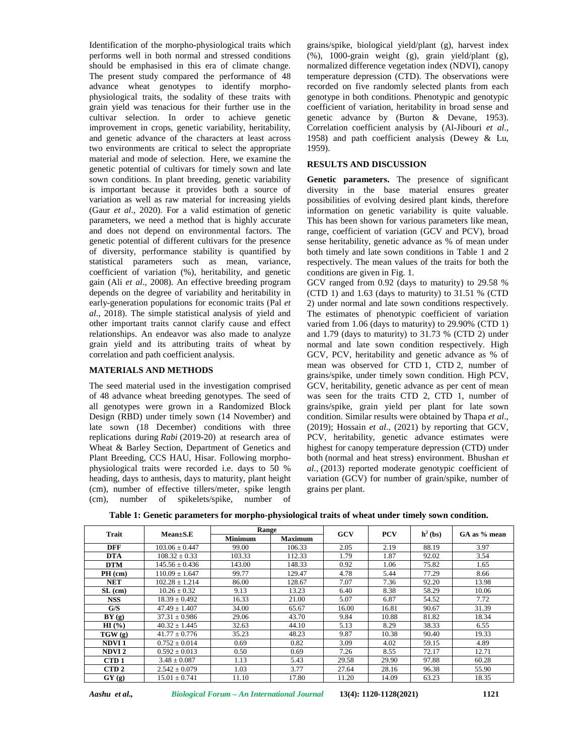Identification of the morpho-physiological traits which performs well in both normal and stressed conditions should be emphasised in this era of climate change. The present study compared the performance of 48 advance wheat genotypes to identify morpho physiological traits, the sodality of these traits with grain yield was tenacious for their further use in the cultivar selection. In order to achieve genetic improvement in crops, genetic variability, heritability, and genetic advance of the characters at least across two environments are critical to select the appropriate material and mode of selection. Here, we examine the genetic potential of cultivars for timely sown and late sown conditions. In plant breeding, genetic variability is important because it provides both a source of variation as well as raw material for increasing yields (Gaur *et al*., 2020). For a valid estimation of genetic parameters, we need a method that is highly accurate and does not depend on environmental factors. The genetic potential of different cultivars for the presence of diversity, performance stability is quantified by statistical parameters such as mean, variance, coefficient of variation (%), heritability, and genetic gain (Ali *et al*., 2008). An effective breeding program depends on the degree of variability and heritability in early-generation populations for economic traits (Pal *et al*., 2018). The simple statistical analysis of yield and other important traits cannot clarify cause and effect relationships. An endeavor was also made to analyze grain yield and its attributing traits of wheat by correlation and path coefficient analysis.

# **MATERIALS AND METHODS**

The seed material used in the investigation comprised of 48 advance wheat breeding genotypes. The seed of all genotypes were grown in a Randomized Block Design (RBD) under timely sown (14 November) and late sown (18 December) conditions with three replications during *Rabi* (2019-20) at research area of Wheat & Barley Section, Department of Genetics and Plant Breeding, CCS HAU, Hisar. Following morpho physiological traits were recorded i.e. days to 50 % heading, days to anthesis, days to maturity, plant height (cm), number of effective tillers/meter, spike length (cm), number of spikelets/spike, number of

grains/spike, biological yield/plant (g), harvest index (%), 1000-grain weight (g), grain yield/plant (g), normalized difference vegetation index (NDVI), canopy temperature depression (CTD). The observations were recorded on five randomly selected plants from each genotype in both conditions. Phenotypic and genotypic coefficient of variation, heritability in broad sense and genetic advance by (Burton & Devane, 1953). Correlation coefficient analysis by (Al-Jibouri *et al*., 1958) and path coefficient analysis (Dewey & Lu, 1959).

# **RESULTS AND DISCUSSION**

**Genetic parameters.** The presence of significant diversity in the base material ensures greater possibilities of evolving desired plant kinds, therefore information on genetic variability is quite valuable. This has been shown for various parameters like mean, range, coefficient of variation (GCV and PCV), broad sense heritability, genetic advance as % of mean under both timely and late sown conditions in Table 1 and 2 respectively. The mean values of the traits for both the conditions are given in Fig. 1.

GCV ranged from 0.92 (days to maturity) to 29.58 % (CTD 1) and 1.63 (days to maturity) to 31.51 % (CTD 2) under normal and late sown conditions respectively. The estimates of phenotypic coefficient of variation varied from 1.06 (days to maturity) to 29.90% (CTD 1) and 1.79 (days to maturity) to 31.73 % (CTD 2) under normal and late sown condition respectively. High GCV, PCV, heritability and genetic advance as % of mean was observed for CTD 1, CTD 2, number of grains/spike, under timely sown condition. High PCV, GCV, heritability, genetic advance as per cent of mean was seen for the traits CTD 2, CTD 1, number of grains/spike, grain yield per plant for late sown condition. Similar results were obtained by Thapa *et al*., (2019); Hossain *et al*., (2021) by reporting that GCV, PCV, heritability, genetic advance estimates were highest for canopy temperature depression (CTD) under both (normal and heat stress) environment. Bhushan *et al.,* (2013) reported moderate genotypic coefficient of variation (GCV) for number of grain/spike, number of grains per plant.

|                  |                    | Range          |                |            |            | $h^2$ (bs) |              |  |
|------------------|--------------------|----------------|----------------|------------|------------|------------|--------------|--|
| Trait            | $Mean \pm S.E$     | <b>Minimum</b> | <b>Maximum</b> | <b>GCV</b> | <b>PCV</b> |            | GA as % mean |  |
| <b>DFF</b>       | $103.06 \pm 0.447$ | 99.00          | 106.33         | 2.05       | 2.19       | 88.19      | 3.97         |  |
| <b>DTA</b>       | $108.32 \pm 0.33$  | 103.33         | 112.33         | 1.79       | 1.87       | 92.02      | 3.54         |  |
| <b>DTM</b>       | $145.56 \pm 0.436$ | 143.00         | 148.33         | 0.92       | 1.06       | 75.82      | 1.65         |  |
| $PH$ (cm)        | $110.09 \pm 1.647$ | 99.77          | 129.47         | 4.78       | 5.44       | 77.29      | 8.66         |  |
| <b>NET</b>       | $102.28 \pm 1.214$ | 86.00          | 128.67         | 7.07       | 7.36       | 92.20      | 13.98        |  |
| $SL$ (cm)        | $10.26 \pm 0.32$   | 9.13           | 13.23          | 6.40       | 8.38       | 58.29      | 10.06        |  |
| <b>NSS</b>       | $18.39 \pm 0.492$  | 16.33          | 21.00          | 5.07       | 6.87       | 54.52      | 7.72         |  |
| G/S              | $47.49 \pm 1.407$  | 34.00          | 65.67          | 16.00      | 16.81      | 90.67      | 31.39        |  |
| BY(2)            | $37.31 \pm 0.986$  | 29.06          | 43.70          | 9.84       | 10.88      | 81.82      | 18.34        |  |
| $HI(\% )$        | $40.32 \pm 1.445$  | 32.63          | 44.10          | 5.13       | 8.29       | 38.33      | 6.55         |  |
| TGW(g)           | $41.77 \pm 0.776$  | 35.23          | 48.23          | 9.87       | 10.38      | 90.40      | 19.33        |  |
| <b>NDVI1</b>     | $0.752 \pm 0.014$  | 0.69           | 0.82           | 3.09       | 4.02       | 59.15      | 4.89         |  |
| <b>NDVI2</b>     | $0.592 \pm 0.013$  | 0.50           | 0.69           | 7.26       | 8.55       | 72.17      | 12.71        |  |
| CTD <sub>1</sub> | $3.48 \pm 0.087$   | 1.13           | 5.43           | 29.58      | 29.90      | 97.88      | 60.28        |  |
| CTD <sub>2</sub> | $2.542 \pm 0.079$  | 1.03           | 3.77           | 27.64      | 28.16      | 96.38      | 55.90        |  |
| GY(g)            | $15.01 \pm 0.741$  | 11.10          | 17.80          | 11.20      | 14.09      | 63.23      | 18.35        |  |

**Table 1: Genetic parameters for morpho-physiological traits of wheat under timely sown condition.**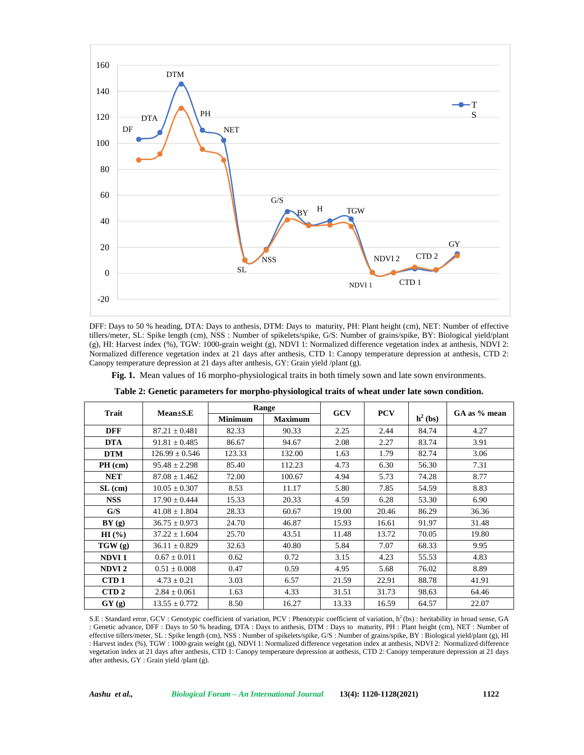

DFF: Days to 50 % heading, DTA: Days to anthesis, DTM: Days to maturity, PH: Plant height (cm), NET: Number of effective tillers/meter, SL: Spike length (cm), NSS : Number of spikelets/spike, G/S: Number of grains/spike, BY: Biological yield/plant (g), HI: Harvest index (%), TGW: 1000-grain weight (g), NDVI 1: Normalized difference vegetation index at anthesis, NDVI 2: Normalized difference vegetation index at 21 days after anthesis, CTD 1: Canopy temperature depression at anthesis, CTD 2: Canopy temperature depression at 21 days after anthesis, GY: Grain yield /plant (g).

**Fig. 1.** Mean values of 16 morpho-physiological traits in both timely sown and late sown environments.

| Trait            | $Mean \pm S.E$     |                | Range          | <b>GCV</b> | <b>PCV</b>    |            | GA as % mean |  |
|------------------|--------------------|----------------|----------------|------------|---------------|------------|--------------|--|
|                  |                    | <b>Minimum</b> | <b>Maximum</b> |            |               | $h^2$ (bs) |              |  |
| <b>DFF</b>       | $87.21 \pm 0.481$  | 82.33          | 90.33          | 2.25       | 2.44          | 84.74      | 4.27         |  |
| <b>DTA</b>       | $91.81 \pm 0.485$  | 86.67          | 94.67          | 2.08       | 2.27          | 83.74      | 3.91         |  |
| <b>DTM</b>       | $126.99 \pm 0.546$ | 123.33         | 132.00         | 1.63       | 1.79          | 82.74      | 3.06         |  |
| $PH$ (cm)        | $95.48 \pm 2.298$  | 85.40          | 112.23         | 4.73       | 56.30<br>6.30 |            | 7.31         |  |
| <b>NET</b>       | $87.08 \pm 1.462$  | 72.00          | 100.67         | 4.94       | 5.73          | 74.28      | 8.77         |  |
| $SL$ (cm)        | $10.05 \pm 0.307$  | 8.53           | 11.17          | 5.80       | 7.85          | 54.59      | 8.83         |  |
| <b>NSS</b>       | $17.90 \pm 0.444$  | 15.33          | 20.33          | 4.59       | 6.28          | 53.30      | 6.90         |  |
| G/S              | $41.08 \pm 1.804$  | 28.33          | 60.67          | 19.00      | 20.46         | 86.29      | 36.36        |  |
| BY(2)            | $36.75 \pm 0.973$  | 24.70          | 46.87          | 15.93      | 16.61         | 91.97      | 31.48        |  |
| HI(%)            | $37.22 \pm 1.604$  | 25.70          | 43.51          | 11.48      | 13.72         | 70.05      | 19.80        |  |
| TGW(g)           | $36.11 \pm 0.829$  | 32.63          | 40.80          | 5.84       | 7.07          | 68.33      | 9.95         |  |
| <b>NDVI1</b>     | $0.67 \pm 0.011$   | 0.62           | 0.72           | 3.15       | 4.23          | 55.53      | 4.83         |  |
| <b>NDVI2</b>     | $0.51 \pm 0.008$   | 0.47           | 0.59           | 4.95       | 5.68          | 76.02      | 8.89         |  |
| CTD <sub>1</sub> | $4.73 \pm 0.21$    | 3.03           | 6.57           | 21.59      | 22.91         | 88.78      | 41.91        |  |
| CTD <sub>2</sub> | $2.84 \pm 0.061$   | 1.63           | 4.33           | 31.51      | 31.73         | 98.63      | 64.46        |  |
| GY(g)            | $13.55 \pm 0.772$  | 8.50           | 16.27          | 13.33      | 16.59         | 64.57      | 22.07        |  |

|  | Table 2: Genetic parameters for morpho-physiological traits of wheat under late sown condition. |
|--|-------------------------------------------------------------------------------------------------|
|--|-------------------------------------------------------------------------------------------------|

S.E : Standard error, GCV : Genotypic coefficient of variation, PCV : Phenotypic coefficient of variation, h<sup>2</sup> (bs) : heritability in broad sense, GA : Genetic advance, DFF : Days to 50 % heading, DTA : Days to anthesis, DTM : Days to maturity, PH : Plant height (cm), NET : Number of effective tillers/meter, SL : Spike length (cm), NSS : Number of spikelets/spike, G/S : Number of grains/spike, BY : Biological yield/plant (g), HI : Harvest index (%), TGW : 1000-grain weight (g), NDVI 1: Normalized difference vegetation index at anthesis, NDVI 2: Normalized difference vegetation index at 21 days after anthesis, CTD 1: Canopy temperature depression at anthesis, CTD 2: Canopy temperature depression at 21 days after anthesis, GY : Grain yield /plant (g).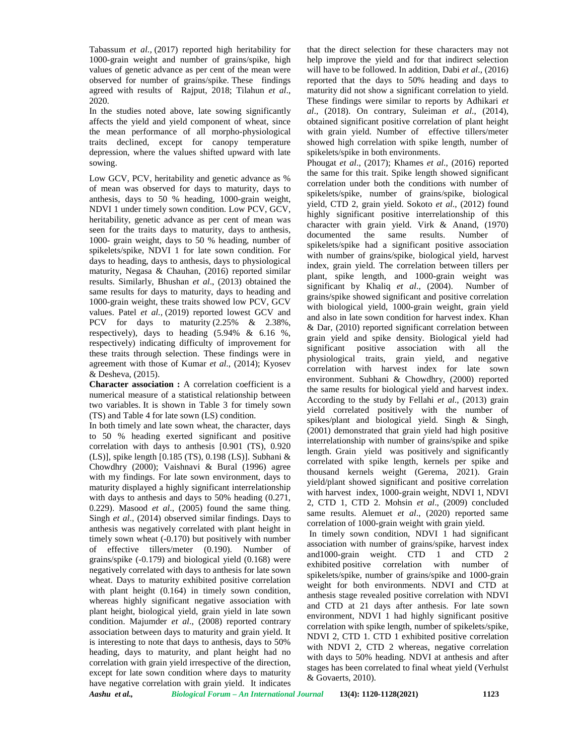Tabassum *et al.,* (2017) reported high heritability for 1000-grain weight and number of grains/spike, high values of genetic advance as per cent of the mean were observed for number of grains/spike. These findings agreed with results of Rajput, 2018; Tilahun *et al*., 2020.

In the studies noted above, late sowing significantly affects the yield and yield component of wheat, since the mean performance of all morpho-physiological traits declined, except for canopy temperature depression, where the values shifted upward with late sowing.

Low GCV, PCV, heritability and genetic advance as % of mean was observed for days to maturity, days to anthesis, days to 50 % heading, 1000-grain weight, NDVI 1 under timely sown condition. Low PCV, GCV, heritability, genetic advance as per cent of mean was seen for the traits days to maturity, days to anthesis, 1000- grain weight, days to 50 % heading, number of spikelets/spike, NDVI 1 for late sown condition. For days to heading, days to anthesis, days to physiological maturity, Negasa & Chauhan, (2016) reported similar results. Similarly, Bhushan *et al*., (2013) obtained the same results for days to maturity, days to heading and 1000-grain weight, these traits showed low PCV, GCV values. Patel *et al.,* (2019) reported lowest GCV and PCV for days to maturity (2.25% & 2.38%, respectively), days to heading  $(5.94\% \& 6.16 \%$ , respectively) indicating difficulty of improvement for these traits through selection. These findings were in agreement with those of Kumar *et al*., (2014); Kyosev & Desheva, (2015).

**Character association :** A correlation coefficient is a numerical measure of a statistical relationship between two variables. It is shown in Table 3 for timely sown (TS) and Table 4 for late sown (LS) condition.

*Aashu et al., Biological Forum – An International Journal* **13(4): 1120-1128(2021) 1123** In both timely and late sown wheat, the character, days to 50 % heading exerted significant and positive correlation with days to anthesis [0.901 (TS), 0.920 (LS)], spike length [0.185 (TS), 0.198 (LS)]. Subhani & Chowdhry (2000); Vaishnavi & Bural (1996) agree with my findings. For late sown environment, days to maturity displayed a highly significant interrelationship with days to anthesis and days to 50% heading (0.271, 0.229). Masood *et al*., (2005) found the same thing. Singh *et al*., (2014) observed similar findings. Days to anthesis was negatively correlated with plant height in timely sown wheat (-0.170) but positively with number of effective tillers/meter (0.190). Number of grains/spike (-0.179) and biological yield (0.168) were negatively correlated with days to anthesis for late sown wheat. Days to maturity exhibited positive correlation with plant height (0.164) in timely sown condition, whereas highly significant negative association with plant height, biological yield, grain yield in late sown condition. Majumder *et al*., (2008) reported contrary association between days to maturity and grain yield. It is interesting to note that days to anthesis, days to 50% heading, days to maturity, and plant height had no correlation with grain yield irrespective of the direction, except for late sown condition where days to maturity have negative correlation with grain yield. It indicates

that the direct selection for these characters may not help improve the yield and for that indirect selection will have to be followed. In addition, Dabi *et al*., (2016) reported that the days to 50% heading and days to maturity did not show a significant correlation to yield. These findings were similar to reports by Adhikari *et al*., (2018). On contrary, Suleiman *et al*., (2014), obtained significant positive correlation of plant height with grain yield. Number of effective tillers/meter showed high correlation with spike length, number of spikelets/spike in both environments.

Phougat *et al*., (2017); Khames *et al*., (2016) reported the same for this trait. Spike length showed significant correlation under both the conditions with number of spikelets/spike, number of grains/spike, biological yield, CTD 2, grain yield. Sokoto *et al*., (2012) found highly significant positive interrelationship of this character with grain yield. Virk & Anand, (1970) documented the same results. Number of spikelets/spike had a significant positive association with number of grains/spike, biological yield, harvest index, grain yield. The correlation between tillers per plant, spike length, and 1000-grain weight was significant by Khaliq *et al*., (2004). Number of grains/spike showed significant and positive correlation with biological yield, 1000-grain weight, grain yield and also in late sown condition for harvest index. Khan & Dar, (2010) reported significant correlation between grain yield and spike density. Biological yield had significant positive association with all the physiological traits, grain yield, and negative correlation with harvest index for late sown environment. Subhani & Chowdhry, (2000) reported the same results for biological yield and harvest index. According to the study by Fellahi *et al*., (2013) grain yield correlated positively with the number of spikes/plant and biological yield. Singh & Singh, (2001) demonstrated that grain yield had high positive interrelationship with number of grains/spike and spike length. Grain yield was positively and significantly correlated with spike length, kernels per spike and thousand kernels weight (Gerema, 2021). Grain yield/plant showed significant and positive correlation with harvest index, 1000-grain weight, NDVI 1, NDVI 2, CTD 1, CTD 2. Mohsin *et al*., (2009) concluded same results. Alemuet *et al*., (2020) reported same correlation of 1000-grain weight with grain yield.

In timely sown condition, NDVI 1 had significant association with number of grains/spike, harvest index and1000-grain weight. CTD 1 and CTD 2 exhibited positive correlation with number of spikelets/spike, number of grains/spike and 1000-grain weight for both environments. NDVI and CTD at anthesis stage revealed positive correlation with NDVI and CTD at 21 days after anthesis. For late sown environment, NDVI 1 had highly significant positive correlation with spike length, number of spikelets/spike, NDVI 2, CTD 1. CTD 1 exhibited positive correlation with NDVI 2, CTD 2 whereas, negative correlation with days to 50% heading. NDVI at anthesis and after stages has been correlated to final wheat yield (Verhulst & Govaerts, 2010).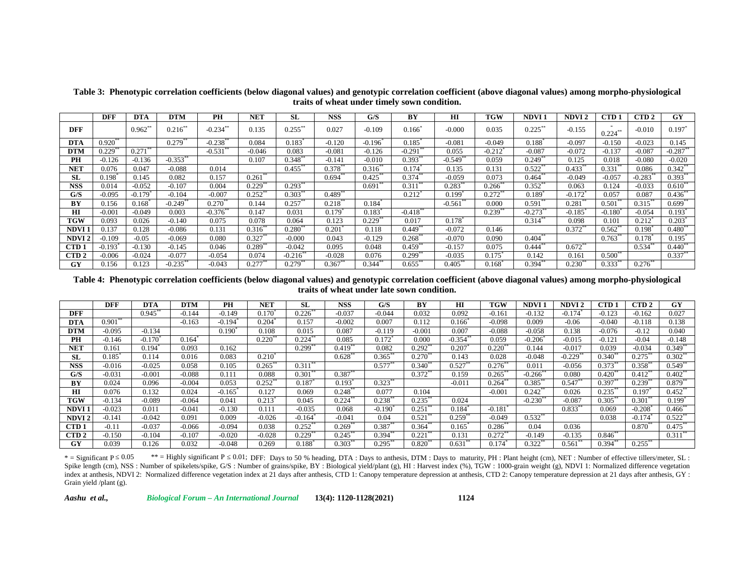|                   | <b>DFF</b> | <b>DTA</b>            | <b>DTM</b>  | PH          | NET        | SL          | <b>NSS</b> | G/S                   | BY                   | HІ         | TGW                  | <b>NDVI1</b>         | NDVI <sub>2</sub> | CTD 1                                  | CTD <sub>2</sub>      | $\mathbf{G}\mathbf{Y}$ |
|-------------------|------------|-----------------------|-------------|-------------|------------|-------------|------------|-----------------------|----------------------|------------|----------------------|----------------------|-------------------|----------------------------------------|-----------------------|------------------------|
| DFF               |            | $0.962**$             | $0.216***$  | $-0.234***$ | 0.135      | $0.255***$  | 0.027      | $-0.109$              | 0.166                | $-0.000$   | 0.035                | $0.225***$           | $-0.155$          | $\overline{\phantom{0}}$<br>$0.224***$ | $-0.010$              | $0.197*$               |
| <b>DTA</b>        | $0.920***$ |                       | $0.279***$  | $-0.238***$ | 0.084      | 0.183"      | $-0.120$   | $-0.196$ <sup>*</sup> | $0.185*$             | $-0.081$   | $-0.049$             | 0.188"               | $-0.097$          | $-0.150$                               | $-0.023$              | 0.145                  |
| <b>DTM</b>        | $0.229***$ | $0.271$ **            |             | $-0.531$ ** | $-0.046$   | 0.083       | $-0.081$   | $-0.126$              | $-0.291***$          | 0.055      | $-0.212"$            | $-0.087$             | $-0.072$          | $-0.137$                               | $-0.087$              | $-0.287***$            |
| PH                | $-0.126$   | $-0.136$              | $-0.353***$ |             | 0.107      | $0.348***$  | $-0.141$   | $-0.010$              | $0.393***$           | $-0.549**$ | 0.059                | $0.249**$            | 0.125             | 0.018                                  | $-0.080$              | $-0.020$               |
| <b>NET</b>        | 0.076      | 0.047                 | $-0.088$    | 0.014       |            | $0.455***$  | $0.378**$  | $0.316***$            | $0.174$ <sup>*</sup> | 0.135      | 0.131                | $0.522**$            | $0.433***$        | $0.331***$                             | 0.086                 | $0.342***$             |
| <b>SL</b>         | 0.198"     | 0.145                 | 0.082       | 0.157       | $0.261***$ |             | $0.694**$  | $0.425***$            | $0.374***$           | -0.059     | 0.073                | $0.464$ **           | $-0.049$          | $-0.057$                               | $-0.283***$           | $0.393***$             |
| <b>NSS</b>        | 0.014      | $-0.052$              | $-0.107$    | 0.004       | $0.229***$ | $0.293**$   |            | $0.691***$            | $0.311***$           | $0.283***$ | $0.266***$           | $0.352**$            | 0.063             | 0.124                                  | $-0.033$              | $0.610**$              |
| G/S               | $-0.095$   | $-0.179$ <sup>*</sup> | $-0.104$    | $-0.007$    | $0.252***$ | $0.303***$  | $0.489**$  |                       | $0.212$ <sup>*</sup> | 0.199`     | $0.272***$           | $0.189$ <sup>*</sup> | $-0.172$          | 0.057                                  | 0.087                 | $0.436***$             |
| BY                | 0.156      | $0.168$ <sup>*</sup>  | $-0.249$ ** | $0.270**$   | 0.144      | $0.257**$   | $0.218***$ | $0.184$ <sup>*</sup>  |                      | $-0.561**$ | 0.000                | $0.591***$           | 0.281             | 0.501                                  | $0.315***$            | $0.699***$             |
| $\mathbf{H}$      | $-0.001$   | $-0.049$              | 0.003       | $-0.376***$ | 0.147      | 0.031       | $0.179*$   | $0.183*$              | $-0.418***$          |            | $0.239***$           | $-0.273***$          | $-0.185$          | $-0.180$                               | $-0.054$              | $0.193*$               |
| <b>TGW</b>        | 0.093      | 0.026                 | $-0.140$    | 0.075       | 0.078      | 0.064       | 0.123      | $0.229***$            | 0.017                | 0.178      |                      | $0.314***$           | 0.098             | 0.101                                  | 0.212"                | $0.203*$               |
| <b>NDVI1</b>      | 0.137      | 0.128                 | $-0.086$    | 0.131       | $0.316***$ | $0.280**$   | 0.201"     | 0.118                 | $0.449***$           | $-0.072$   | 0.146                |                      | $0.372**$         | $0.562**$                              | 0.198                 | $0.480**$              |
| NDVI <sub>2</sub> | $-0.109$   | $-0.05$               | $-0.069$    | 0.080       | $0.327***$ | $-0.000$    | 0.043      | $-0.129$              | $0.268***$           | -0.070     | 0.090                | $0.404***$           |                   | $0.763***$                             | 0.178                 | $0.195^*$              |
| CTD <sub>1</sub>  | $-0.193*$  | $-0.130$              | $-0.145$    | 0.046       | $0.289***$ | $-0.042$    | 0.095      | 0.048                 | $0.459***$           | $-0.157$   | 0.075                | $0.444$ **           | $0.672**$         |                                        | $0.534**$             | $0.440**$              |
| CTD <sub>2</sub>  | $-0.006$   | $-0.024$              | $-0.077$    | $-0.054$    | 0.074      | $-0.216***$ | $-0.028$   | 0.076                 | $0.299***$           | $-0.035$   | 0.175                | 0.142                | 0.161             | $0.500**$                              |                       | $0.337***$             |
| GY                | 0.156      | 0.123                 | $-0.235$ ** | $-0.043$    | 0.277      | 0.279       | 0.367      | $0.344$ <sup>*</sup>  | $0.655$ **           | 0.405      | $0.168$ <sup>*</sup> | $0.394$ <sup>*</sup> | 0.230'            | $0.333$ <sup>*</sup>                   | $0.276$ <sup>**</sup> |                        |

**Table 3: Phenotypic correlation coefficients (below diagonal values) and genotypic correlation coefficient (above diagonal values) among morpho-physiological traits of wheat under timely sown condition.**

**Table 4: Phenotypic correlation coefficients (below diagonal values) and genotypic correlation coefficient (above diagonal values) among morpho-physiological traits of wheat under late sown condition.**

|                   | <b>DFF</b> | DTA          | <b>DTM</b> | PH                    | <b>NET</b> | SL                    | <b>NSS</b>           | G/S                  | BY         | НI          | TGW                   | <b>NDVI1</b> | NDVI <sub>2</sub> | <b>CTD</b>      | CTD 2      | GY                    |
|-------------------|------------|--------------|------------|-----------------------|------------|-----------------------|----------------------|----------------------|------------|-------------|-----------------------|--------------|-------------------|-----------------|------------|-----------------------|
| DFF               |            | $0.945***$   | $-0.144$   | $-0.149$              | 0.170      | $0.226***$            | $-0.037$             | $-0.044$             | 0.032      | 0.092       | $-0.161$              | $-0.132$     | $-0.174$          | $-0.123$        | $-0.162$   | 0.027                 |
| <b>DTA</b>        | $0.901***$ |              | $-0.163$   | $-0.194$              | 0.204      | 0.157                 | $-0.002$             | 0.007                | 0.112      | 0.166       | $-0.098$              | 0.009        | $-0.06$           | $-0.040$        | $-0.118$   | 0.138                 |
| <b>DTM</b>        | $-0.095$   | $-0.134$     |            | $0.190^*$             | 0.108      | 0.015                 | 0.087                | $-0.119$             | $-0.001$   | 0.007       | $-0.088$              | $-0.058$     | 0.138             | $-0.076$        | $-0.12$    | 0.040                 |
| PH                | $-0.146$   | $-0.170^{*}$ | 0.164      |                       | $0.220***$ | $0.224$ **            | 0.085                | $0.172$ <sup>*</sup> | 0.000      | $-0.354***$ | 0.059                 | $-0.206*$    | $-0.015$          | $-0.121$        | $-0.04$    | $-0.148$              |
| <b>NET</b>        | 0.161      | 0.194        | 0.093      | 0.162                 |            | $0.299***$            | $0.419**$            | 0.082                | $0.292***$ | 0.207       | $0.220***$            | 0.144        | $-0.017$          | 0.039           | $-0.034$   | $0.349***$            |
| SL                | 0.185      | 0.114        | 0.016      | 0.083                 | 0.210      |                       | 0.628'''             | $0.365$ <sup>*</sup> | 0.270      | 0.143       | 0.028                 | $-0.048$     | $-0.229$          | $0.340^{\circ}$ | 0.275      | $0.302***$            |
| <b>NSS</b>        | $-0.016$   | $-0.025$     | 0.058      | 0.105                 | $0.265***$ | $0.311***$            |                      | $0.577**$            | $0.340**$  | $0.527**$   | $0.276***$            | 0.011        | $-0.056$          | 0.373           | $0.358***$ | $0.549**$             |
| G/S               | $-0.031$   | $-0.001$     | $-0.088$   | 0.111                 | 0.088      | 0.301                 | $0.387**$            |                      | $0.372**$  | 0.159       | $0.265***$            | $-0.266$ **  | 0.080             | $0.420***$      | $0.412***$ | $0.402***$            |
| BY                | 0.024      | 0.096        | $-0.004$   | 0.053                 | $0.252***$ | 0.187"                | $0.193$ <sup>*</sup> | $0.323**$            |            | $-0.011$    | $0.264***$            | $0.385***$   | $0.547**$         | $0.397***$      | $0.239***$ | $0.879***$            |
| ΗΙ                | 0.076      | 0.132        | 0.024      | $-0.165$ <sup>*</sup> | 0.127      | 0.069                 | $0.248$ **           | 0.077                | 0.104      |             | $-0.001$              | $0.242$ **   | 0.026             | $0.235***$      | 0.197      | $0.452***$            |
| TGW               | $-0.134$   | $-0.089$     | $-0.064$   | 0.041                 | 0.213      | 0.045                 | $0.224***$           | $0.238***$           | $0.235***$ | 0.024       |                       | $-0.230**$   | $-0.087$          | $0.305***$      | 0.301      | $0.199^*$             |
| <b>NDVI1</b>      | $-0.023$   | 0.011        | $-0.041$   | $-0.130$              | 0.111      | $-0.035$              | 0.068                | $-0.190$             | $0.251***$ | 0.184       | $-0.181$              |              | $0.833***$        | 0.069           | $-0.208"$  | $0.466***$            |
| NDVI <sub>2</sub> | $-0.141$   | $-0.042$     | 0.091      | 0.009                 | $-0.026$   | $-0.164$ <sup>*</sup> | $-0.041$             | 0.04                 | $0.521***$ | $0.259***$  | $-0.049$              | $0.532***$   |                   | 0.038           | $-0.174$   | $0.522***$            |
| CTD <sub>1</sub>  | $-0.11$    | $-0.037$     | $-0.066$   | $-0.094$              | 0.038      | $0.252***$            | $0.269**$            | $0.387**$            | $0.364***$ | 0.165       | $0.286***$            | 0.04         | 0.036             |                 | $0.870***$ | $0.475***$            |
| CTD <sub>2</sub>  | $-0.150$   | $-0.104$     | $-0.107$   | $-0.020$              | $-0.028$   | 0.229                 | 0.245                | $0.394$ <sup>*</sup> | 0.221      | 0.131       | $0.272$ <sup>**</sup> | $-0.149$     | $-0.135$          | $0.846^{**}$    |            | $0.311$ <sup>**</sup> |
| GY                | 0.039      | 0.126        | 0.032      | $-0.048$              | 0.269      | $0.188^{r}$           | $0.303***$           | $0.295***$           | $0.820***$ | $0.631***$  | 0.174                 | $0.322***$   | 0.561             | 0.394           | $0.255***$ |                       |

\* = Significant P  $0.05$  \*\* = Highly significant P  $0.01$ ; DFF: Days to 50 % heading, DTA : Days to anthesis, DTM : Days to maturity, PH : Plant height (cm), NET : Number of effective tillers/meter, SL : Spike length (cm), NSS : Number of spikelets/spike, G/S : Number of grains/spike, BY : Biological yield/plant (g), HI : Harvest index (%), TGW : 1000-grain weight (g), NDVI 1: Normalized difference vegetation index at anthesis, NDVI 2: Normalized difference vegetation index at 21 days after anthesis, CTD 1: Canopy temperature depression at anthesis, CTD 2: Canopy temperature depression at 21 days after anthesis, GY : Grain yield /plant (g).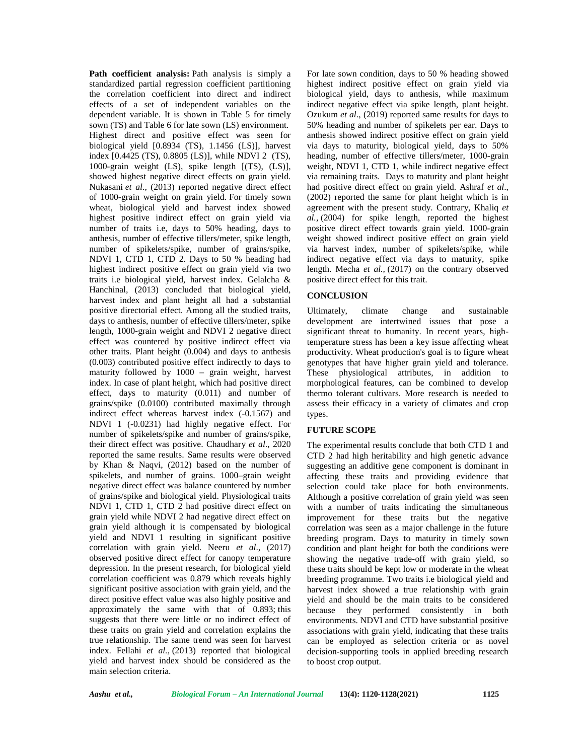**Path coefficient analysis:** Path analysis is simply a standardized partial regression coefficient partitioning the correlation coefficient into direct and indirect effects of a set of independent variables on the dependent variable. It is shown in Table 5 for timely sown (TS) and Table 6 for late sown (LS) environment. Highest direct and positive effect was seen for biological yield [0.8934 (TS), 1.1456 (LS)], harvest index [0.4425 (TS), 0.8805 (LS)], while NDVI 2 (TS), 1000-grain weight (LS), spike length [(TS), (LS)], showed highest negative direct effects on grain yield. Nukasani *et al*., (2013) reported negative direct effect of 1000-grain weight on grain yield. For timely sown wheat, biological yield and harvest index showed highest positive indirect effect on grain yield via number of traits i.e, days to 50% heading, days to anthesis, number of effective tillers/meter, spike length, number of spikelets/spike, number of grains/spike, NDVI 1, CTD 1, CTD 2. Days to 50 % heading had highest indirect positive effect on grain yield via two traits i.e biological yield, harvest index. Gelalcha & Hanchinal, (2013) concluded that biological yield, harvest index and plant height all had a substantial positive directorial effect. Among all the studied traits, days to anthesis, number of effective tillers/meter, spike length, 1000-grain weight and NDVI 2 negative direct effect was countered by positive indirect effect via other traits. Plant height (0.004) and days to anthesis (0.003) contributed positive effect indirectly to days to maturity followed by 1000 – grain weight, harvest index. In case of plant height, which had positive direct effect, days to maturity (0.011) and number of grains/spike (0.0100) contributed maximally through indirect effect whereas harvest index (-0.1567) and NDVI 1 (-0.0231) had highly negative effect. For number of spikelets/spike and number of grains/spike, their direct effect was positive. Chaudhary *et al*., 2020 reported the same results. Same results were observed by Khan & Naqvi, (2012) based on the number of spikelets, and number of grains. 1000–grain weight negative direct effect was balance countered by number of grains/spike and biological yield. Physiological traits NDVI 1, CTD 1, CTD 2 had positive direct effect on grain yield while NDVI 2 had negative direct effect on grain yield although it is compensated by biological yield and NDVI 1 resulting in significant positive correlation with grain yield. Neeru *et al*., (2017) observed positive direct effect for canopy temperature depression. In the present research, for biological yield correlation coefficient was 0.879 which reveals highly significant positive association with grain yield, and the direct positive effect value was also highly positive and approximately the same with that of 0.893; this suggests that there were little or no indirect effect of these traits on grain yield and correlation explains the true relationship. The same trend was seen for harvest index. Fellahi *et al.,* (2013) reported that biological yield and harvest index should be considered as the main selection criteria.

For late sown condition, days to 50 % heading showed highest indirect positive effect on grain yield via biological yield, days to anthesis, while maximum indirect negative effect via spike length, plant height. Ozukum *et al*., (2019) reported same results for days to 50% heading and number of spikelets per ear. Days to anthesis showed indirect positive effect on grain yield via days to maturity, biological yield, days to 50% heading, number of effective tillers/meter, 1000-grain weight, NDVI 1, CTD 1, while indirect negative effect via remaining traits. Days to maturity and plant height had positive direct effect on grain yield. Ashraf *et al*., (2002) reported the same for plant height which is in agreement with the present study. Contrary, Khaliq *et al.,* (2004) for spike length, reported the highest positive direct effect towards grain yield. 1000-grain weight showed indirect positive effect on grain yield via harvest index, number of spikelets/spike, while indirect negative effect via days to maturity, spike length. Mecha *et al.,* (2017) on the contrary observed positive direct effect for this trait.

# **CONCLUSION**

Ultimately, climate change and sustainable development are intertwined issues that pose a significant threat to humanity. In recent years, hightemperature stress has been a key issue affecting wheat productivity. Wheat production's goal is to figure wheat genotypes that have higher grain yield and tolerance. These physiological attributes, in addition to morphological features, can be combined to develop thermo tolerant cultivars. More research is needed to assess their efficacy in a variety of climates and crop types.

### **FUTURE SCOPE**

The experimental results conclude that both CTD 1 and CTD 2 had high heritability and high genetic advance suggesting an additive gene component is dominant in affecting these traits and providing evidence that selection could take place for both environments. Although a positive correlation of grain yield was seen with a number of traits indicating the simultaneous improvement for these traits but the negative correlation was seen as a major challenge in the future breeding program. Days to maturity in timely sown condition and plant height for both the conditions were showing the negative trade-off with grain yield, so these traits should be kept low or moderate in the wheat breeding programme. Two traits i.e biological yield and harvest index showed a true relationship with grain yield and should be the main traits to be considered because they performed consistently in both environments. NDVI and CTD have substantial positive associations with grain yield, indicating that these traits can be employed as selection criteria or as novel decision-supporting tools in applied breeding research to boost crop output.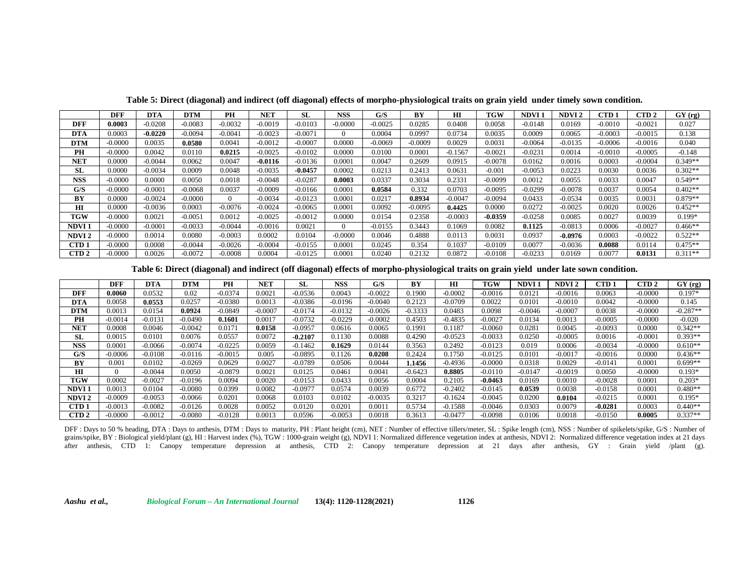|                  | <b>DFF</b> | <b>DTA</b> | <b>DTM</b> | PH        | <b>NET</b> | <b>SL</b> | <b>NSS</b> | G/S       | BY        | $\mathbf{H}$ | <b>TGW</b> | <b>NDVI1</b> | <b>NDVI2</b> | CTD <sub>1</sub> | CTD <sub>2</sub> | GY (rg)   |
|------------------|------------|------------|------------|-----------|------------|-----------|------------|-----------|-----------|--------------|------------|--------------|--------------|------------------|------------------|-----------|
| <b>DFF</b>       | 0.0003     | $-0.0208$  | $-0.0083$  | $-0.0032$ | $-0.0019$  | $-0.0103$ | $-0.0000$  | $-0.0025$ | 0.0285    | 0.0408       | 0.0058     | $-0.0148$    | 0.0169       | $-0.0010$        | $-0.0021$        | 0.027     |
| DTA              | 0.0003     | $-0.0220$  | $-0.0094$  | $-0.0041$ | $-0.0023$  | $-0.0071$ |            | 0.0004    | 0.0997    | 0.0734       | 0.0035     | 0.0009       | 0.0065       | $-0.0003$        | $-0.0015$        | 0.138     |
| <b>DTM</b>       | $-0.0000$  | 0.0035     | 0.0580     | 0.0041    | $-0.0012$  | $-0.0007$ | 0.0000     | $-0.0069$ | $-0.0009$ | 0.0029       | 0.0031     | $-0.0064$    | $-0.0135$    | $-0.0006$        | $-0.0016$        | 0.040     |
| PH               | $-0.0000$  | 0.0042     | 0.0110     | 0.0215    | $-0.0025$  | -0.0102   | 0.0000     | 0.0100    | 0.0001    | $-0.1567$    | $-0.0021$  | $-0.0231$    | 0.0014       | $-0.0010$        | $-0.0005$        | $-0.148$  |
| <b>NET</b>       | 0.0000     | $-0.0044$  | 0.0062     | 0.0047    | $-0.0116$  | $-0.0136$ | 0.0001     | 0.0047    | 0.2609    | 0.0915       | $-0.0078$  | 0.0162       | 0.0016       | 0.0003           | $-0.0004$        | $0.349**$ |
| <b>SL</b>        | 0.0000     | $-0.0034$  | 0.0009     | 0.0048    | $-0.0035$  | $-0.0457$ | 0.0002     | 0.0213    | 0.2413    | 0.0631       | $-0.001$   | $-0.0053$    | 0.0223       | 0.0030           | 0.0036           | $0.302**$ |
| <b>NSS</b>       | $-0.0000$  | 0.0000     | 0.0050     | 0.0018    | $-0.0048$  | $-0.0287$ | 0.0003     | 0.0337    | 0.3034    | 0.2331       | $-0.0099$  | 0.0012       | 0.0055       | 0.0033           | 0.0047           | $0.549**$ |
| G/S              | $-0.0000$  | $-0.0001$  | $-0.0068$  | 0.0037    | $-0.0009$  | $-0.0166$ | 0.0001     | 0.0584    | 0.332     | 0.0703       | $-0.0095$  | $-0.0299$    | $-0.0078$    | 0.0037           | 0.0054           | $0.402**$ |
| BY               | 0.0000     | $-0.0024$  | $-0.0000$  | $\Omega$  | $-0.0034$  | $-0.0123$ | 0.0001     | 0.0217    | 0.8934    | $-0.0047$    | $-0.0094$  | 0.0433       | $-0.0534$    | 0.0035           | 0.0031           | $0.879**$ |
| Ш                | 0.0000     | $-0.0036$  | 0.0003     | $-0.0076$ | $-0.0024$  | $-0.0065$ | 0.0001     | 0.0092    | $-0.0095$ | 0.4425       | 0.0000     | 0.0272       | $-0.0025$    | 0.0020           | 0.0026           | $0.452**$ |
| TGW              | $-0.0000$  | 0.0021     | $-0.0051$  | 0.0012    | $-0.0025$  | $-0.0012$ | 0.0000     | 0.0154    | 0.2358    | $-0.0003$    | $-0.0359$  | $-0.0258$    | 0.0085       | 0.0027           | 0.0039           | $0.199*$  |
| <b>NDVI1</b>     | $-0.0000$  | $-0.0001$  | $-0.0033$  | $-0.0044$ | $-0.0016$  | 0.0021    |            | $-0.0155$ | 0.3443    | 0.1069       | 0.0082     | 0.1125       | $-0.0813$    | 0.0006           | $-0.0027$        | $0.466**$ |
| <b>NDVI2</b>     | $-0.0000$  | 0.0014     | 0.0080     | $-0.0003$ | 0.0002     | 0.0104    | $-0.0000$  | 0.0046    | 0.4888    | 0.0113       | 0.0031     | 0.0937       | $-0.0976$    | 0.0003           | $-0.0022$        | $0.522**$ |
| CTD <sub>1</sub> | $-0.0000$  | 0.0008     | $-0.0044$  | $-0.0026$ | $-0.0004$  | $-0.0155$ | 0.0001     | 0.0245    | 0.354     | 0.1037       | $-0.0109$  | 0.0077       | $-0.0036$    | 0.0088           | 0.0114           | $0.475**$ |
| CTD <sub>2</sub> | $-0.0000$  | 0.0026     | $-0.0072$  | $-0.0008$ | 0.0004     | $-0.0125$ | 0.0001     | 0.0240    | 0.2132    | 0.0872       | $-0.0108$  | $-0.0233$    | 0.0169       | 0.0077           | 0.0131           | $0.311**$ |

**Table 5: Direct (diagonal) and indirect (off diagonal) effects of morpho-physiological traits on grain yield under timely sown condition.**

**Table 6: Direct (diagonal) and indirect (off diagonal) effects of morpho-physiological traits on grain yield under late sown condition.**

|                  | <b>DFF</b> | DTA       | <b>DTM</b> | PH        | <b>NET</b> | SL        | <b>NSS</b> | G/S       | BY        | ΗΙ        | TGW       | <b>NDVI</b> 1 | <b>NDVI2</b> | CTD <sub>1</sub> | CTD 2     | GY(rg)     |
|------------------|------------|-----------|------------|-----------|------------|-----------|------------|-----------|-----------|-----------|-----------|---------------|--------------|------------------|-----------|------------|
| <b>DFF</b>       | 0.0060     | 0.0532    | 0.02       | $-0.0374$ | 0.0021     | $-0.0536$ | 0.0043     | $-0.0022$ | 0.1900    | $-0.0002$ | $-0.0016$ | 0.0121        | $-0.0016$    | 0.0063           | $-0.0000$ | $0.197*$   |
| <b>DTA</b>       | 0.0058     | 0.0553    | 0.0257     | $-0.0380$ | 0.0013     | $-0.0386$ | $-0.0196$  | $-0.0040$ | 0.2123    | $-0.0709$ | 0.0022    | 0.0101        | $-0.0010$    | 0.0042           | $-0.0000$ | 0.145      |
| <b>DTM</b>       | 0.0013     | 0.0154    | 0.0924     | $-0.0849$ | $-0.0007$  | $-0.0174$ | $-0.0132$  | $-0.0026$ | $-0.3333$ | 0.0483    | 0.0098    | $-0.0046$     | $-0.0007$    | 0.0038           | $-0.0000$ | $-0.287**$ |
| PH               | $-0.0014$  | $-0.0131$ | $-0.0490$  | 0.1601    | 0.0017     | $-0.0732$ | $-0.0229$  | $-0.0002$ | 0.4503    | $-0.4835$ | $-0.0027$ | 0.0134        | 0.0013       | $-0.0005$        | $-0.0000$ | $-0.020$   |
| NET              | 0.0008     | 0.0046    | -0.0042    | 0.0171    | 0.0158     | $-0.0957$ | 0.0616     | 0.0065    | 0.1991    | 0.1187    | $-0.0060$ | 0.0281        | 0.0045       | $-0.0093$        | 0.0000    | $0.342**$  |
| SL               | 0.0015     | 0.0101    | 0.0076     | 0.0557    | 0.0072     | $-0.2107$ | 0.1130     | 0.0088    | 0.4290    | $-0.0523$ | $-0.0033$ | 0.0250        | $-0.0005$    | 0.0016           | $-0.0001$ | $0.393**$  |
| <b>NSS</b>       | 0.0001     | $-0.0066$ | $-0.0074$  | $-0.0225$ | 0.0059     | $-0.1462$ | 0.1629     | 0.0144    | 0.3563    | 0.2492    | $-0.0123$ | 0.019         | 0.0006       | $-0.0034$        | $-0.0000$ | $0.610**$  |
| G/S              | $-0.0006$  | $-0.0108$ | $-0.0116$  | $-0.0015$ | 0.005      | $-0.0895$ | 0.1126     | 0.0208    | 0.2424    | 0.1750    | $-0.0125$ | 0.0101        | $-0.0017$    | $-0.0016$        | 0.0000    | $0.436**$  |
| BY               | 0.001      | 0.0102    | -0.0269    | 0.0629    | 0.0027     | $-0.0789$ | 0.0506     | 0.0044    | 1.1456    | $-0.4936$ | $-0.0000$ | 0.0318        | 0.0029       | $-0.014$         | 0.0001    | $0.699**$  |
| HІ               | $\theta$   | $-0.0044$ | 0.0050     | $-0.0879$ | 0.0021     | 0.0125    | 0.0461     | 0.0041    | $-0.6423$ | 0.8805    | $-0.0110$ | $-0.0147$     | $-0.0019$    | 0.0050           | $-0.0000$ | $0.193*$   |
| TGW              | 0.0002     | $-0.0027$ | $-0.0196$  | 0.0094    | 0.0020     | $-0.0153$ | 0.0433     | 0.0056    | 0.0004    | 0.2105    | $-0.0463$ | 0.0169        | 0.0010       | $-0.0028$        | 0.0001    | $0.203*$   |
| <b>NDVI</b> 1    | 0.0013     | 0.0104    | $-0.0080$  | 0.0399    | 0.0082     | $-0.0977$ | 0.0574     | 0.0039    | 0.6772    | $-0.2402$ | $-0.0145$ | 0.0539        | 0.0038       | $-0.0158$        | 0.0001    | $0.480**$  |
| <b>NDVI2</b>     | $-0.0009$  | $-0.0053$ | $-0.0066$  | 0.0201    | 0.0068     | 0.0103    | 0.0102     | $-0.0035$ | 0.3217    | $-0.1624$ | $-0.0045$ | 0.0200        | 0.0104       | $-0.0215$        | 0.0001    | $0.195*$   |
| CTD 1            | $-0.0013$  | $-0.0082$ | $-0.0126$  | 0.0028    | 0.0052     | 0.0120    | 0.0201     | 0.0011    | 0.5734    | $-0.1588$ | $-0.0046$ | 0.0303        | 0.0079       | $-0.0281$        | 0.0003    | $0.440**$  |
| CTD <sub>2</sub> | $-0.0000$  | $-0.0012$ | $-0.0080$  | $-0.0128$ | 0.0013     | 0.0596    | $-0.0053$  | 0.0018    | 0.3613    | $-0.0477$ | $-0.0098$ | 0.0106        | 0.0018       | $-0.0150$        | 0.0005    | $0.337**$  |

DFF : Days to 50 % heading, DTA : Days to anthesis, DTM : Days to maturity, PH : Plant height (cm), NET : Number of effective tillers/meter, SL : Spike length (cm), NSS : Number of spikelets/spike, G/S : Number of grains/spike, BY : Biological yield/plant (g), HI : Harvest index (%), TGW : 1000-grain weight (g), NDVI 1: Normalized difference vegetation index at anthesis, NDVI 2: Normalized difference vegetation index at 21 days after anthesis, CTD 1: Canopy temperature depression at anthesis, CTD 2: Canopy temperature depression at 21 days after anthesis, GY : Grain yield /plant (g).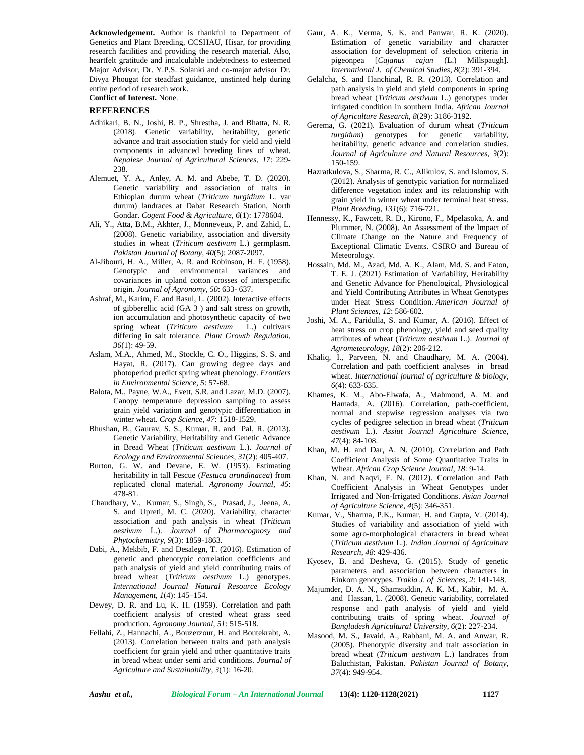**Acknowledgement.** Author is thankful to Department of Genetics and Plant Breeding, CCSHAU, Hisar, for providing research facilities and providing the research material. Also, heartfelt gratitude and incalculable indebtedness to esteemed Major Advisor, Dr. Y.P.S. Solanki and co-major advisor Dr. Divya Phougat for steadfast guidance, unstinted help during entire period of research work. **Conflict of Interest.** None.

# **REFERENCES**

- Adhikari, B. N., Joshi, B. P., Shrestha, J. and Bhatta, N. R. (2018). Genetic variability, heritability, genetic advance and trait association study for yield and yield components in advanced breeding lines of wheat. *Nepalese Journal of Agricultural Sciences*, *17*: 229- 238.
- Alemuet, Y. A., Anley, A. M. and Abebe, T. D. (2020). Genetic variability and association of traits in Ethiopian durum wheat (*Triticum turgidium* L. var durum) landraces at Dabat Research Station, North Gondar. *Cogent Food & Agriculture*, *6*(1): 1778604.
- Ali, Y., Atta, B.M., Akhter, J., Monneveux, P. and Zahid, L. (2008). Genetic variability, association and diversity studies in wheat (*Triticum aestivum* L.) germplasm. *Pakistan Journal of Botany*, *40*(5): 2087-2097.
- Al-Jibouri, H. A., Miller, A. R. and Robinson, H. F. (1958). Genotypic and environmental variances and covariances in upland cotton crosses of interspecific origin. *Journal of Agronomy*, *50*: 633- 637.
- Ashraf, M., Karim, F. and Rasul, L. (2002). Interactive effects of gibberellic acid (GA 3 ) and salt stress on growth, ion accumulation and photosynthetic capacity of two spring wheat (*Triticum aestivum* L.) cultivars differing in salt tolerance. *Plant Growth Regulation*, *36*(1): 49-59.
- Aslam, M.A., Ahmed, M., Stockle, C. O., Higgins, S. S. and Hayat, R. (2017). Can growing degree days and photoperiod predict spring wheat phenology. *Frontiers in Environmental Science*, *5*: 57-68.
- Balota, M., Payne, W.A., Evett, S.R. and Lazar, M.D. (2007). Canopy temperature depression sampling to assess grain yield variation and genotypic differentiation in winter wheat. *Crop Science*, *47*: 1518-1529.
- Bhushan, B., Gaurav, S. S., Kumar, R. and Pal, R. (2013). Genetic Variability, Heritability and Genetic Advance in Bread Wheat (*Triticum aestivum* L.). *Journal of Ecology and Environmental Sciences*, *31*(2): 405-407.
- Burton, G. W. and Devane, E. W. (1953). Estimating heritability in tall Fescue (*Festuca arundinacea*) from replicated clonal material. *Agronomy Journal*, *45*: 478-81.
- Chaudhary, V., Kumar, S., Singh, S., Prasad, J., Jeena, A. S. and Upreti, M. C. (2020). Variability, character association and path analysis in wheat (*Triticum aestivum* L.). *Journal of Pharmacognosy and Phytochemistry*, *9*(3): 1859-1863.
- Dabi, A., Mekbib, F. and Desalegn, T. (2016). Estimation of genetic and phenotypic correlation coefficients and path analysis of yield and yield contributing traits of bread wheat (*Triticum aestivum* L.) genotypes. *International Journal Natural Resource Ecology Management*, *1*(4): 145–154.
- Dewey, D. R. and Lu, K. H. (1959). Correlation and path coefficient analysis of crested wheat grass seed production. *Agronomy Journal*, *51*: 515-518.
- Fellahi, Z., Hannachi, A., Bouzerzour, H. and Boutekrabt, A. (2013). Correlation between traits and path analysis coefficient for grain yield and other quantitative traits in bread wheat under semi arid conditions. *Journal of Agriculture and Sustainability*, *3*(1): 16-20.
- Gaur, A. K., Verma, S. K. and Panwar, R. K. (2020). Estimation of genetic variability and character association for development of selection criteria in pigeonpea [*Cajanus cajan* (L.) Millspaugh]. *International J. of Chemical Studies*, *8*(2): 391-394.
- Gelalcha, S. and Hanchinal, R. R. (2013). Correlation and path analysis in yield and yield components in spring bread wheat (*Triticum aestivum* L.) genotypes under irrigated condition in southern India. *African Journal of Agriculture Research*, *8*(29): 3186-3192.
- Gerema, G. (2021). Evaluation of durum wheat (*Triticum turgidum*) genotypes for genetic variability, heritability, genetic advance and correlation studies. *Journal of Agriculture and Natural Resources*, *3*(2): 150-159.
- Hazratkulova, S., Sharma, R. C., Alikulov, S. and Islomov, S. (2012). Analysis of genotypic variation for normalized difference vegetation index and its relationship with grain yield in winter wheat under terminal heat stress. *Plant Breeding*, *131*(6): 716-721.
- Hennessy, K., Fawcett, R. D., Kirono, F., Mpelasoka, A. and Plummer, N. (2008). An Assessment of the Impact of Climate Change on the Nature and Frequency of Exceptional Climatic Events. CSIRO and Bureau of Meteorology.
- Hossain, Md. M., Azad, Md. A. K., Alam, Md. S. and Eaton, T. E. J. (2021) Estimation of Variability, Heritability and Genetic Advance for Phenological, Physiological and Yield Contributing Attributes in Wheat Genotypes under Heat Stress Condition. *American Journal of Plant Sciences*, *12*: 586-602.
- Joshi, M. A., Faridulla, S. and Kumar, A. (2016). Effect of heat stress on crop phenology, yield and seed quality attributes of wheat (*Triticum aestivum* L.). *Journal of Agrometeorology*, *18*(2): 206-212.
- Khaliq, I., Parveen, N. and Chaudhary, M. A. (2004). Correlation and path coefficient analyses in bread wheat. *International journal of agriculture & biology*, *6*(4): 633-635.
- Khames, K. M., Abo-Elwafa, A., Mahmoud, A. M. and Hamada, A. (2016). Correlation, path-coefficient, normal and stepwise regression analyses via two cycles of pedigree selection in bread wheat (*Triticum aestivum* L.). *Assiut Journal Agriculture Science*, *47*(4): 84-108.
- Khan, M. H. and Dar, A. N. (2010). Correlation and Path Coefficient Analysis of Some Quantitative Traits in Wheat. *African Crop Science Journal*, *18*: 9-14.
- Khan, N. and Naqvi, F. N. (2012). Correlation and Path Coefficient Analysis in Wheat Genotypes under Irrigated and Non-Irrigated Conditions. *Asian Journal of Agriculture Science*, *4*(5): 346-351.
- Kumar, V., Sharma, P.K., Kumar, H. and Gupta, V. (2014). Studies of variability and association of yield with some agro-morphological characters in bread wheat (*Triticum aestivum* L.). *Indian Journal of Agriculture Research*, *48*: 429-436.
- Kyosev, B. and Desheva, G. (2015). Study of genetic parameters and association between characters in Einkorn genotypes. *Trakia J. of Sciences*, *2*: 141-148.
- Majumder, D. A. N., Shamsuddin, A. K. M., Kabir, M. A. and Hassan, L. (2008). Genetic variability, correlated response and path analysis of yield and yield contributing traits of spring wheat. *Journal of Bangladesh Agricultural University*, *6*(2): 227-234.
- Masood, M. S., Javaid, A., Rabbani, M. A. and Anwar, R. (2005). Phenotypic diversity and trait association in bread wheat (*Triticum aestivum* L.) landraces from Baluchistan, Pakistan. *Pakistan Journal of Botany*, *37*(4): 949-954.